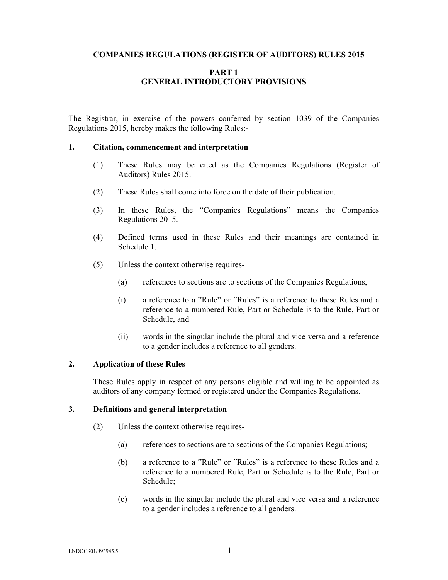### **COMPANIES REGULATIONS (REGISTER OF AUDITORS) RULES 2015**

## **PART 1 GENERAL INTRODUCTORY PROVISIONS**

The Registrar, in exercise of the powers conferred by section 1039 of the Companies Regulations 2015, hereby makes the following Rules:-

#### **1. Citation, commencement and interpretation**

- (1) These Rules may be cited as the Companies Regulations (Register of Auditors) Rules 2015.
- (2) These Rules shall come into force on the date of their publication.
- (3) In these Rules, the "Companies Regulations" means the Companies Regulations 2015.
- (4) Defined terms used in these Rules and their meanings are contained in Schedule 1.
- (5) Unless the context otherwise requires-
	- (a) references to sections are to sections of the Companies Regulations,
	- (i) a reference to a "Rule" or "Rules" is a reference to these Rules and a reference to a numbered Rule, Part or Schedule is to the Rule, Part or Schedule, and
	- (ii) words in the singular include the plural and vice versa and a reference to a gender includes a reference to all genders.

#### **2. Application of these Rules**

These Rules apply in respect of any persons eligible and willing to be appointed as auditors of any company formed or registered under the Companies Regulations.

## **3. Definitions and general interpretation**

- (2) Unless the context otherwise requires-
	- (a) references to sections are to sections of the Companies Regulations;
	- (b) a reference to a "Rule" or "Rules" is a reference to these Rules and a reference to a numbered Rule, Part or Schedule is to the Rule, Part or Schedule;
	- (c) words in the singular include the plural and vice versa and a reference to a gender includes a reference to all genders.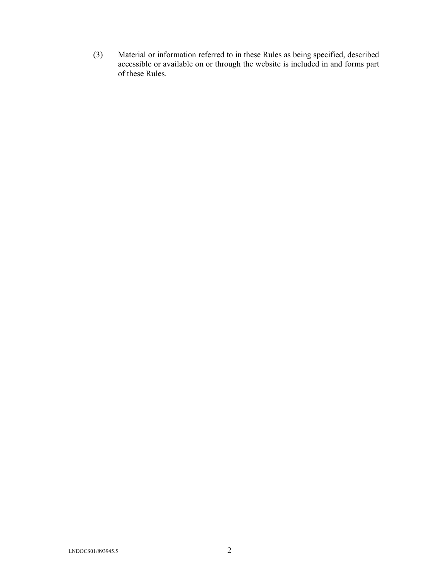(3) Material or information referred to in these Rules as being specified, described accessible or available on or through the website is included in and forms part of these Rules.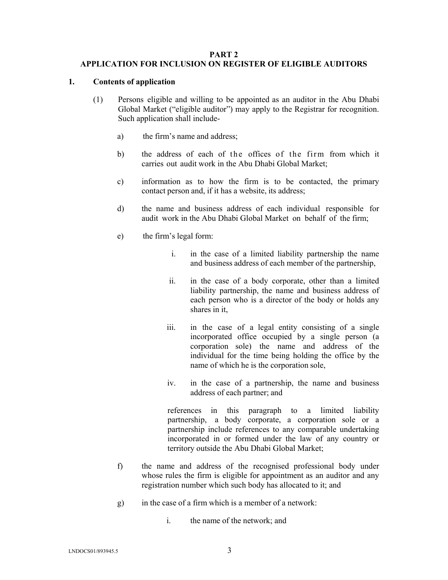### **PART 2**

## **APPLICATION FOR INCLUSION ON REGISTER OF ELIGIBLE AUDITORS**

### **1. Contents of application**

- (1) Persons eligible and willing to be appointed as an auditor in the Abu Dhabi Global Market ("eligible auditor") may apply to the Registrar for recognition. Such application shall include
	- a) the firm's name and address;
	- b) the address of each of the offices of the firm from which it carries out audit work in the Abu Dhabi Global Market;
	- c) information as to how the firm is to be contacted, the primary contact person and, if it has a website, its address;
	- d) the name and business address of each individual responsible for audit work in the Abu Dhabi Global Market on behalf of the firm;
	- e) the firm's legal form:
		- i. in the case of a limited liability partnership the name and business address of each member of the partnership,
		- ii. in the case of a body corporate, other than a limited liability partnership, the name and business address of each person who is a director of the body or holds any shares in it,
		- iii. in the case of a legal entity consisting of a single incorporated office occupied by a single person (a corporation sole) the name and address of the individual for the time being holding the office by the name of which he is the corporation sole,
		- iv. in the case of a partnership, the name and business address of each partner; and

references in this paragraph to a limited liability partnership, a body corporate, a corporation sole or a partnership include references to any comparable undertaking incorporated in or formed under the law of any country or territory outside the Abu Dhabi Global Market;

- f) the name and address of the recognised professional body under whose rules the firm is eligible for appointment as an auditor and any registration number which such body has allocated to it; and
- g) in the case of a firm which is a member of a network:
	- i. the name of the network; and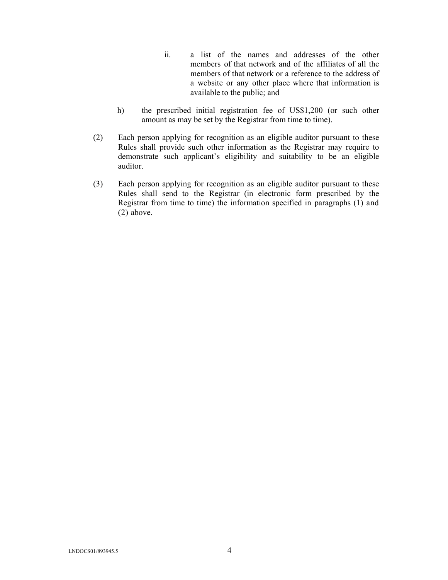- ii. a list of the names and addresses of the other members of that network and of the affiliates of all the members of that network or a reference to the address of a website or any other place where that information is available to the public; and
- h) the prescribed initial registration fee of US\$1,200 (or such other amount as may be set by the Registrar from time to time).
- (2) Each person applying for recognition as an eligible auditor pursuant to these Rules shall provide such other information as the Registrar may require to demonstrate such applicant's eligibility and suitability to be an eligible auditor.
- (3) Each person applying for recognition as an eligible auditor pursuant to these Rules shall send to the Registrar (in electronic form prescribed by the Registrar from time to time) the information specified in paragraphs (1) and (2) above.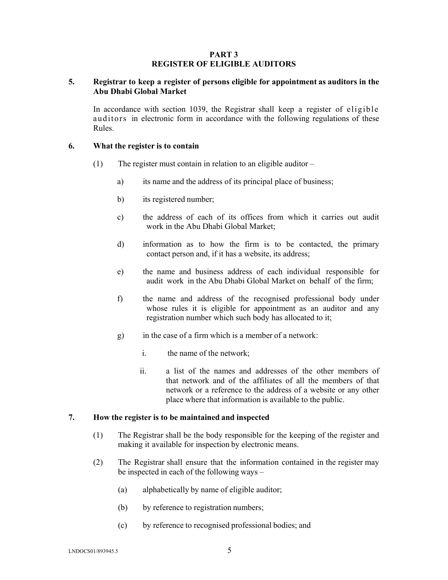### **PART 3 REGISTER OF ELIGIBLE AUDITORS**

## **5. Registrar to keep a register of persons eligible for appointment as auditors in the Abu Dhabi Global Market**

In accordance with section 1039, the Registrar shall keep a register of eligible auditors in electronic form in accordance with the following regulations of these Rules.

### **6. What the register is to contain**

- (1) The register must contain in relation to an eligible auditor
	- a) its name and the address of its principal place of business;
	- b) its registered number;
	- c) the address of each of its offices from which it carries out audit work in the Abu Dhabi Global Market;
	- d) information as to how the firm is to be contacted, the primary contact person and, if it has a website, its address;
	- e) the name and business address of each individual responsible for audit work in the Abu Dhabi Global Market on behalf of the firm;
	- f) the name and address of the recognised professional body under whose rules it is eligible for appointment as an auditor and any registration number which such body has allocated to it;
	- g) in the case of a firm which is a member of a network:
		- i. the name of the network;
		- ii. a list of the names and addresses of the other members of that network and of the affiliates of all the members of that network or a reference to the address of a website or any other place where that information is available to the public.

#### **7. How the register is to be maintained and inspected**

- (1) The Registrar shall be the body responsible for the keeping of the register and making it available for inspection by electronic means.
- (2) The Registrar shall ensure that the information contained in the register may be inspected in each of the following ways –
	- (a) alphabetically by name of eligible auditor;
	- (b) by reference to registration numbers;
	- (c) by reference to recognised professional bodies; and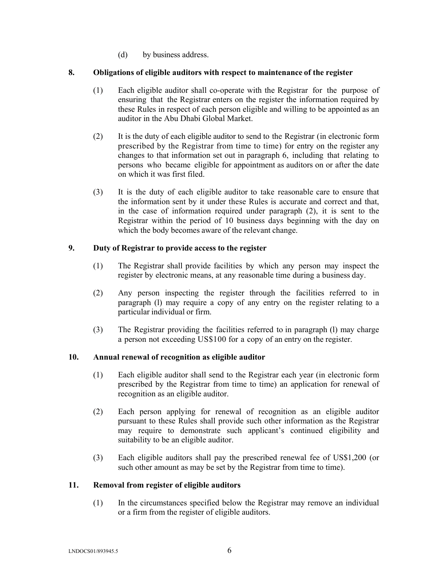(d) by business address.

## **8. Obligations of eligible auditors with respect to maintenance of the register**

- (1) Each eligible auditor shall co-operate with the Registrar for the purpose of ensuring that the Registrar enters on the register the information required by these Rules in respect of each person eligible and willing to be appointed as an auditor in the Abu Dhabi Global Market.
- (2) It is the duty of each eligible auditor to send to the Registrar (in electronic form prescribed by the Registrar from time to time) for entry on the register any changes to that information set out in paragraph 6, including that relating to persons who became eligible for appointment as auditors on or after the date on which it was first filed.
- (3) It is the duty of each eligible auditor to take reasonable care to ensure that the information sent by it under these Rules is accurate and correct and that, in the case of information required under paragraph (2), it is sent to the Registrar within the period of 10 business days beginning with the day on which the body becomes aware of the relevant change.

## **9. Duty of Registrar to provide access to the register**

- (1) The Registrar shall provide facilities by which any person may inspect the register by electronic means, at any reasonable time during a business day.
- (2) Any person inspecting the register through the facilities referred to in paragraph (l) may require a copy of any entry on the register relating to a particular individual or firm.
- (3) The Registrar providing the facilities referred to in paragraph (l) may charge a person not exceeding US\$100 for a copy of an entry on the register.

# **10. Annual renewal of recognition as eligible auditor**

- (1) Each eligible auditor shall send to the Registrar each year (in electronic form prescribed by the Registrar from time to time) an application for renewal of recognition as an eligible auditor.
- (2) Each person applying for renewal of recognition as an eligible auditor pursuant to these Rules shall provide such other information as the Registrar may require to demonstrate such applicant's continued eligibility and suitability to be an eligible auditor.
- (3) Each eligible auditors shall pay the prescribed renewal fee of US\$1,200 (or such other amount as may be set by the Registrar from time to time).

## **11. Removal from register of eligible auditors**

(1) In the circumstances specified below the Registrar may remove an individual or a firm from the register of eligible auditors.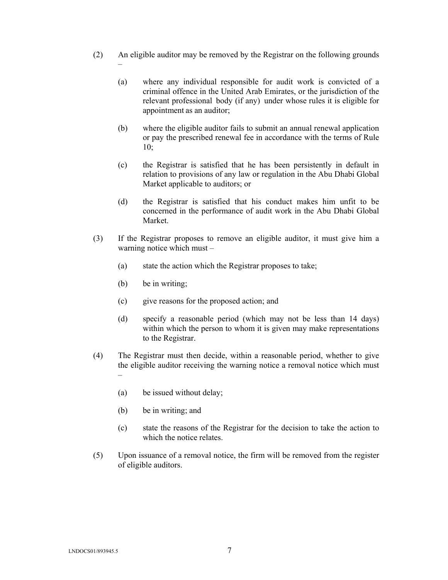- (2) An eligible auditor may be removed by the Registrar on the following grounds
	- (a) where any individual responsible for audit work is convicted of a criminal offence in the United Arab Emirates, or the jurisdiction of the relevant professional body (if any) under whose rules it is eligible for appointment as an auditor;
	- (b) where the eligible auditor fails to submit an annual renewal application or pay the prescribed renewal fee in accordance with the terms of Rule 10;
	- (c) the Registrar is satisfied that he has been persistently in default in relation to provisions of any law or regulation in the Abu Dhabi Global Market applicable to auditors; or
	- (d) the Registrar is satisfied that his conduct makes him unfit to be concerned in the performance of audit work in the Abu Dhabi Global Market.
- (3) If the Registrar proposes to remove an eligible auditor, it must give him a warning notice which must –
	- (a) state the action which the Registrar proposes to take;
	- (b) be in writing;

–

- (c) give reasons for the proposed action; and
- (d) specify a reasonable period (which may not be less than 14 days) within which the person to whom it is given may make representations to the Registrar.
- (4) The Registrar must then decide, within a reasonable period, whether to give the eligible auditor receiving the warning notice a removal notice which must –
	- (a) be issued without delay;
	- (b) be in writing; and
	- (c) state the reasons of the Registrar for the decision to take the action to which the notice relates.
- (5) Upon issuance of a removal notice, the firm will be removed from the register of eligible auditors.